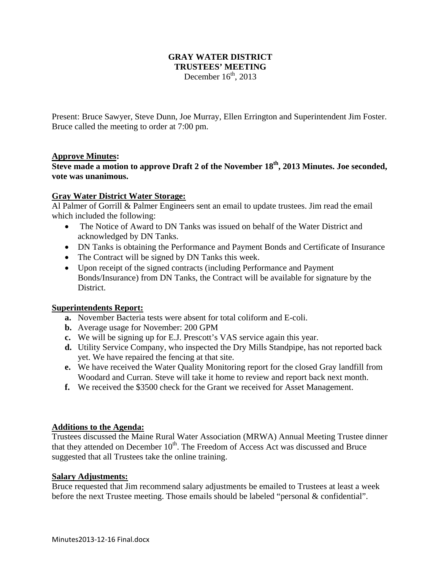## **GRAY WATER DISTRICT TRUSTEES' MEETING**  December  $16<sup>th</sup>$ , 2013

Present: Bruce Sawyer, Steve Dunn, Joe Murray, Ellen Errington and Superintendent Jim Foster. Bruce called the meeting to order at 7:00 pm.

## **Approve Minutes:**

**Steve made a motion to approve Draft 2 of the November 18<sup>th</sup>, 2013 Minutes. Joe seconded, vote was unanimous.** 

#### **Gray Water District Water Storage:**

Al Palmer of Gorrill & Palmer Engineers sent an email to update trustees. Jim read the email which included the following:

- The Notice of Award to DN Tanks was issued on behalf of the Water District and acknowledged by DN Tanks.
- DN Tanks is obtaining the Performance and Payment Bonds and Certificate of Insurance
- The Contract will be signed by DN Tanks this week.
- Upon receipt of the signed contracts (including Performance and Payment Bonds/Insurance) from DN Tanks, the Contract will be available for signature by the District.

## **Superintendents Report:**

- **a.** November Bacteria tests were absent for total coliform and E-coli.
- **b.** Average usage for November: 200 GPM
- **c.** We will be signing up for E.J. Prescott's VAS service again this year.
- **d.** Utility Service Company, who inspected the Dry Mills Standpipe, has not reported back yet. We have repaired the fencing at that site.
- **e.** We have received the Water Quality Monitoring report for the closed Gray landfill from Woodard and Curran. Steve will take it home to review and report back next month.
- **f.** We received the \$3500 check for the Grant we received for Asset Management.

#### **Additions to the Agenda:**

Trustees discussed the Maine Rural Water Association (MRWA) Annual Meeting Trustee dinner that they attended on December  $10^{th}$ . The Freedom of Access Act was discussed and Bruce suggested that all Trustees take the online training.

## **Salary Adjustments:**

Bruce requested that Jim recommend salary adjustments be emailed to Trustees at least a week before the next Trustee meeting. Those emails should be labeled "personal & confidential".